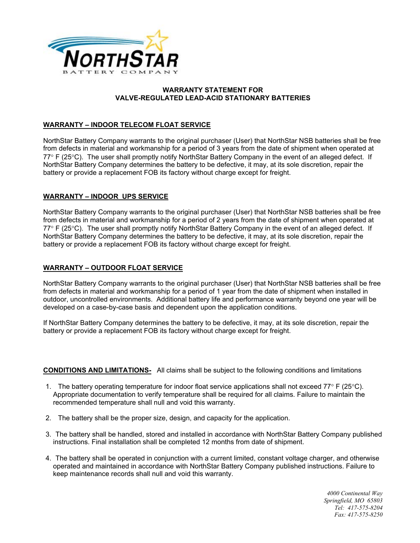

## **WARRANTY STATEMENT FOR VALVE-REGULATED LEAD-ACID STATIONARY BATTERIES**

# **WARRANTY – INDOOR TELECOM FLOAT SERVICE**

NorthStar Battery Company warrants to the original purchaser (User) that NorthStar NSB batteries shall be free from defects in material and workmanship for a period of 3 years from the date of shipment when operated at 77° F (25°C). The user shall promptly notify NorthStar Battery Company in the event of an alleged defect. If NorthStar Battery Company determines the battery to be defective, it may, at its sole discretion, repair the battery or provide a replacement FOB its factory without charge except for freight.

## **WARRANTY – INDOOR UPS SERVICE**

NorthStar Battery Company warrants to the original purchaser (User) that NorthStar NSB batteries shall be free from defects in material and workmanship for a period of 2 years from the date of shipment when operated at 77° F (25°C). The user shall promptly notify NorthStar Battery Company in the event of an alleged defect. If NorthStar Battery Company determines the battery to be defective, it may, at its sole discretion, repair the battery or provide a replacement FOB its factory without charge except for freight.

## **WARRANTY – OUTDOOR FLOAT SERVICE**

NorthStar Battery Company warrants to the original purchaser (User) that NorthStar NSB batteries shall be free from defects in material and workmanship for a period of 1 year from the date of shipment when installed in outdoor, uncontrolled environments. Additional battery life and performance warranty beyond one year will be developed on a case-by-case basis and dependent upon the application conditions.

If NorthStar Battery Company determines the battery to be defective, it may, at its sole discretion, repair the battery or provide a replacement FOB its factory without charge except for freight.

## **CONDITIONS AND LIMITATIONS-** All claims shall be subject to the following conditions and limitations

- 1. The battery operating temperature for indoor float service applications shall not exceed  $77^{\circ}$  F ( $25^{\circ}$ C). Appropriate documentation to verify temperature shall be required for all claims. Failure to maintain the recommended temperature shall null and void this warranty.
- 2. The battery shall be the proper size, design, and capacity for the application.
- 3. The battery shall be handled, stored and installed in accordance with NorthStar Battery Company published instructions. Final installation shall be completed 12 months from date of shipment.
- 4. The battery shall be operated in conjunction with a current limited, constant voltage charger, and otherwise operated and maintained in accordance with NorthStar Battery Company published instructions. Failure to keep maintenance records shall null and void this warranty.

*4000 Continental Way Springfield, MO 65803 Tel: 417-575-8204 Fax: 417-575-8250*